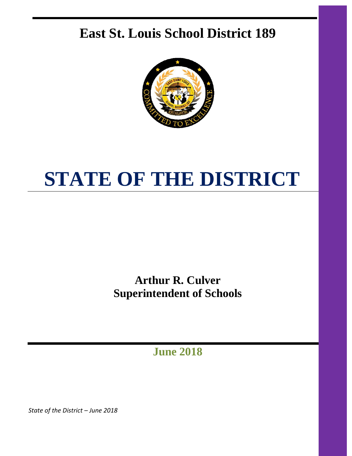## **East St. Louis School District 189**



# **STATE OF THE DISTRICT**

**Arthur R. Culver Superintendent of Schools**

**June 2018**

*State of the District – June 2018*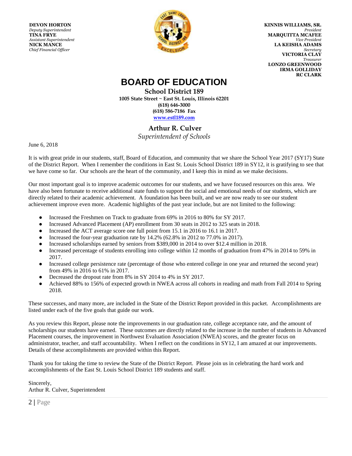**DEVON HORTON** *Deputy Superintendent* **TINA FRYE** *Assistant Superintendent*  **NICK MANCE** *Chief Financial Officer*



**KINNIS WILLIAMS, SR.**  *President*  **MARQUITTA MCAFEE**   *Vice President*  **LA KEISHA ADAMS**  *Secretary*  **VICTORIA CLAY**   *Treasurer* **LONZO GREENWOOD IRMA GOLLIDAY RC CLARK**

## **BOARD OF EDUCATION**

**School District 189 1005 State Street ~ East St. Louis, Illinois 62201 (618) 646-3000 (618) 586-7186 Fax www.estl189.com**

#### **Arthur R. Culver**

*Superintendent of Schools*

June 6, 2018

It is with great pride in our students, staff, Board of Education, and community that we share the School Year 2017 (SY17) State of the District Report. When I remember the conditions in East St. Louis School District 189 in SY12, it is gratifying to see that we have come so far. Our schools are the heart of the community, and I keep this in mind as we make decisions.

Our most important goal is to improve academic outcomes for our students, and we have focused resources on this area. We have also been fortunate to receive additional state funds to support the social and emotional needs of our students, which are directly related to their academic achievement. A foundation has been built, and we are now ready to see our student achievement improve even more. Academic highlights of the past year include, but are not limited to the following:

- Increased the Freshmen on Track to graduate from 69% in 2016 to 80% for SY 2017.
- Increased Advanced Placement (AP) enrollment from 30 seats in 2012 to 325 seats in 2018.
- Increased the ACT average score one full point from 15.1 in 2016 to 16.1 in 2017.
- Increased the four-year graduation rate by 14.2% (62.8% in 2012 to 77.0% in 2017).
- Increased scholarships earned by seniors from \$389,000 in 2014 to over \$12.4 million in 2018.
- Increased percentage of students enrolling into college within 12 months of graduation from 47% in 2014 to 59% in 2017.
- Increased college persistence rate (percentage of those who entered college in one year and returned the second year) from 49% in 2016 to 61% in 2017.
- Decreased the dropout rate from 8% in SY 2014 to 4% in SY 2017.
- Achieved 88% to 156% of expected growth in NWEA across all cohorts in reading and math from Fall 2014 to Spring 2018.

These successes, and many more, are included in the State of the District Report provided in this packet. Accomplishments are listed under each of the five goals that guide our work.

As you review this Report, please note the improvements in our graduation rate, college acceptance rate, and the amount of scholarships our students have earned. These outcomes are directly related to the increase in the number of students in Advanced Placement courses, the improvement in Northwest Evaluation Association (NWEA) scores, and the greater focus on administrator, teacher, and staff accountability. When I reflect on the conditions in SY12, I am amazed at our improvements. Details of these accomplishments are provided within this Report.

Thank you for taking the time to review the State of the District Report. Please join us in celebrating the hard work and accomplishments of the East St. Louis School District 189 students and staff.

Sincerely, Arthur R. Culver, Superintendent

2 **|** Page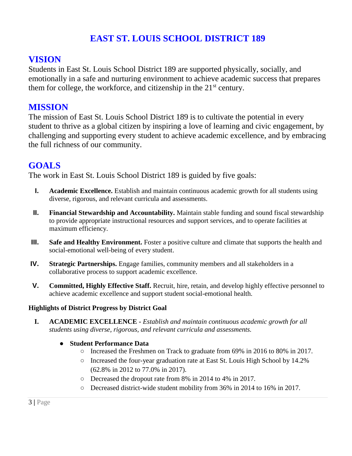## **EAST ST. LOUIS SCHOOL DISTRICT 189**

## **VISION**

Students in East St. Louis School District 189 are supported physically, socially, and emotionally in a safe and nurturing environment to achieve academic success that prepares them for college, the workforce, and citizenship in the  $21<sup>st</sup>$  century.

### **MISSION**

The mission of East St. Louis School District 189 is to cultivate the potential in every student to thrive as a global citizen by inspiring a love of learning and civic engagement, by challenging and supporting every student to achieve academic excellence, and by embracing the full richness of our community.

## **GOALS**

The work in East St. Louis School District 189 is guided by five goals:

- **I. Academic Excellence.** Establish and maintain continuous academic growth for all students using diverse, rigorous, and relevant curricula and assessments.
- **II. Financial Stewardship and Accountability.** Maintain stable funding and sound fiscal stewardship to provide appropriate instructional resources and support services, and to operate facilities at maximum efficiency.
- **III. Safe and Healthy Environment.** Foster a positive culture and climate that supports the health and social-emotional well-being of every student.
- **IV. Strategic Partnerships.** Engage families, community members and all stakeholders in a collaborative process to support academic excellence.
- **V. Committed, Highly Effective Staff.** Recruit, hire, retain, and develop highly effective personnel to achieve academic excellence and support student social-emotional health.

#### **Highlights of District Progress by District Goal**

**I. ACADEMIC EXCELLENCE -** *Establish and maintain continuous academic growth for all students using diverse, rigorous, and relevant curricula and assessments.* 

#### ● **Student Performance Data**

- Increased the Freshmen on Track to graduate from 69% in 2016 to 80% in 2017.
- Increased the four-year graduation rate at East St. Louis High School by 14.2% (62.8% in 2012 to 77.0% in 2017).
- Decreased the dropout rate from 8% in 2014 to 4% in 2017.
- Decreased district-wide student mobility from 36% in 2014 to 16% in 2017.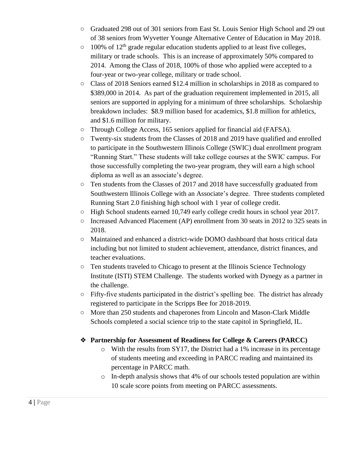- Graduated 298 out of 301 seniors from East St. Louis Senior High School and 29 out of 38 seniors from Wyvetter Younge Alternative Center of Education in May 2018.
- $\circ$  100% of 12<sup>th</sup> grade regular education students applied to at least five colleges, military or trade schools. This is an increase of approximately 50% compared to 2014. Among the Class of 2018, 100% of those who applied were accepted to a four-year or two-year college, military or trade school.
- Class of 2018 Seniors earned \$12.4 million in scholarships in 2018 as compared to \$389,000 in 2014. As part of the graduation requirement implemented in 2015, all seniors are supported in applying for a minimum of three scholarships. Scholarship breakdown includes: \$8.9 million based for academics, \$1.8 million for athletics, and \$1.6 million for military.
- Through College Access, 165 seniors applied for financial aid (FAFSA).
- Twenty-six students from the Classes of 2018 and 2019 have qualified and enrolled to participate in the Southwestern Illinois College (SWIC) dual enrollment program "Running Start." These students will take college courses at the SWIC campus. For those successfully completing the two-year program, they will earn a high school diploma as well as an associate's degree.
- Ten students from the Classes of 2017 and 2018 have successfully graduated from Southwestern Illinois College with an Associate's degree. Three students completed Running Start 2.0 finishing high school with 1 year of college credit.
- High School students earned 10,749 early college credit hours in school year 2017.
- Increased Advanced Placement (AP) enrollment from 30 seats in 2012 to 325 seats in 2018.
- Maintained and enhanced a district-wide DOMO dashboard that hosts critical data including but not limited to student achievement, attendance, district finances, and teacher evaluations.
- Ten students traveled to Chicago to present at the Illinois Science Technology Institute (ISTI) STEM Challenge. The students worked with Dynegy as a partner in the challenge.
- Fifty-five students participated in the district's spelling bee. The district has already registered to participate in the Scripps Bee for 2018-2019.
- More than 250 students and chaperones from Lincoln and Mason-Clark Middle Schools completed a social science trip to the state capitol in Springfield, IL.

#### ❖ **Partnership for Assessment of Readiness for College & Careers (PARCC)**

- $\circ$  With the results from SY17, the District had a 1% increase in its percentage of students meeting and exceeding in PARCC reading and maintained its percentage in PARCC math.
- o In-depth analysis shows that 4% of our schools tested population are within 10 scale score points from meeting on PARCC assessments.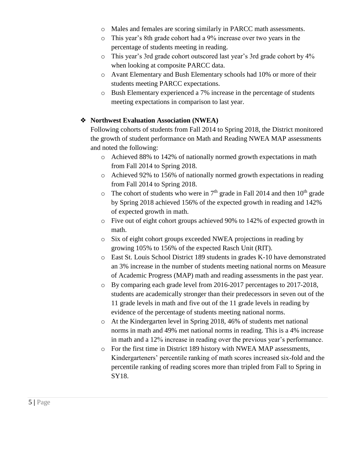- o Males and females are scoring similarly in PARCC math assessments.
- o This year's 8th grade cohort had a 9% increase over two years in the percentage of students meeting in reading.
- o This year's 3rd grade cohort outscored last year's 3rd grade cohort by 4% when looking at composite PARCC data.
- o Avant Elementary and Bush Elementary schools had 10% or more of their students meeting PARCC expectations.
- o Bush Elementary experienced a 7% increase in the percentage of students meeting expectations in comparison to last year.

#### ❖ **Northwest Evaluation Association (NWEA)**

Following cohorts of students from Fall 2014 to Spring 2018, the District monitored the growth of student performance on Math and Reading NWEA MAP assessments and noted the following:

- o Achieved 88% to 142% of nationally normed growth expectations in math from Fall 2014 to Spring 2018.
- o Achieved 92% to 156% of nationally normed growth expectations in reading from Fall 2014 to Spring 2018.
- $\circ$  The cohort of students who were in 7<sup>th</sup> grade in Fall 2014 and then 10<sup>th</sup> grade by Spring 2018 achieved 156% of the expected growth in reading and 142% of expected growth in math.
- o Five out of eight cohort groups achieved 90% to 142% of expected growth in math.
- o Six of eight cohort groups exceeded NWEA projections in reading by growing 105% to 156% of the expected Rasch Unit (RIT).
- o East St. Louis School District 189 students in grades K-10 have demonstrated an 3% increase in the number of students meeting national norms on Measure of Academic Progress (MAP) math and reading assessments in the past year.
- o By comparing each grade level from 2016-2017 percentages to 2017-2018, students are academically stronger than their predecessors in seven out of the 11 grade levels in math and five out of the 11 grade levels in reading by evidence of the percentage of students meeting national norms.
- o At the Kindergarten level in Spring 2018, 46% of students met national norms in math and 49% met national norms in reading. This is a 4% increase in math and a 12% increase in reading over the previous year's performance.
- o For the first time in District 189 history with NWEA MAP assessments, Kindergarteners' percentile ranking of math scores increased six-fold and the percentile ranking of reading scores more than tripled from Fall to Spring in SY18.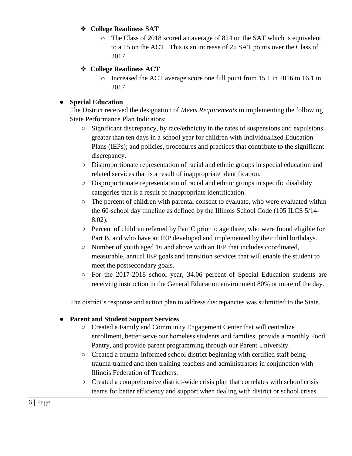#### ❖ **College Readiness SAT**

o The Class of 2018 scored an average of 824 on the SAT which is equivalent to a 15 on the ACT. This is an increase of 25 SAT points over the Class of 2017.

#### **College Readiness ACT**

o Increased the ACT average score one full point from 15.1 in 2016 to 16.1 in 2017.

#### **Special Education**

The District received the designation of *Meets Requirements* in implementing the following State Performance Plan Indicators:

- Significant discrepancy, by race/ethnicity in the rates of suspensions and expulsions greater than ten days in a school year for children with Individualized Education Plans (IEPs); and policies, procedures and practices that contribute to the significant discrepancy.
- Disproportionate representation of racial and ethnic groups in special education and related services that is a result of inappropriate identification.
- Disproportionate representation of racial and ethnic groups in specific disability categories that is a result of inappropriate identification.
- The percent of children with parental consent to evaluate, who were evaluated within the 60-school day timeline as defined by the Illinois School Code (105 ILCS 5/14- 8.02).
- Percent of children referred by Part C prior to age three, who were found eligible for Part B, and who have an IEP developed and implemented by their third birthdays.
- Number of youth aged 16 and above with an IEP that includes coordinated, measurable, annual IEP goals and transition services that will enable the student to meet the postsecondary goals.
- For the 2017-2018 school year, 34.06 percent of Special Education students are receiving instruction in the General Education environment 80% or more of the day.

The district's response and action plan to address discrepancies was submitted to the State.

#### **Parent and Student Support Services**

- Created a Family and Community Engagement Center that will centralize enrollment, better serve our homeless students and families, provide a monthly Food Pantry, and provide parent programming through our Parent University.
- Created a trauma-informed school district beginning with certified staff being trauma-trained and then training teachers and administrators in conjunction with Illinois Federation of Teachers.
- Created a comprehensive district-wide crisis plan that correlates with school crisis teams for better efficiency and support when dealing with district or school crises.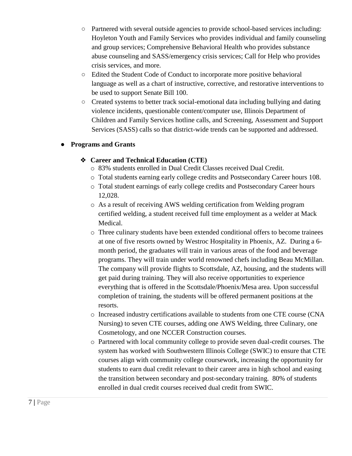- Partnered with several outside agencies to provide school-based services including: Hoyleton Youth and Family Services who provides individual and family counseling and group services; Comprehensive Behavioral Health who provides substance abuse counseling and SASS/emergency crisis services; Call for Help who provides crisis services, and more.
- Edited the Student Code of Conduct to incorporate more positive behavioral language as well as a chart of instructive, corrective, and restorative interventions to be used to support Senate Bill 100.
- Created systems to better track social-emotional data including bullying and dating violence incidents, questionable content/computer use, Illinois Department of Children and Family Services hotline calls, and Screening, Assessment and Support Services (SASS) calls so that district-wide trends can be supported and addressed.

#### ● **Programs and Grants**

#### ❖ **Career and Technical Education (CTE)**

- o 83% students enrolled in Dual Credit Classes received Dual Credit.
- o Total students earning early college credits and Postsecondary Career hours 108.
- o Total student earnings of early college credits and Postsecondary Career hours 12,028.
- o As a result of receiving AWS welding certification from Welding program certified welding, a student received full time employment as a welder at Mack Medical.
- o Three culinary students have been extended conditional offers to become trainees at one of five resorts owned by Westroc Hospitality in Phoenix, AZ. During a 6 month period, the graduates will train in various areas of the food and beverage programs. They will train under world renowned chefs including Beau McMillan. The company will provide flights to Scottsdale, AZ, housing, and the students will get paid during training. They will also receive opportunities to experience everything that is offered in the Scottsdale/Phoenix/Mesa area. Upon successful completion of training, the students will be offered permanent positions at the resorts.
- o Increased industry certifications available to students from one CTE course (CNA Nursing) to seven CTE courses, adding one AWS Welding, three Culinary, one Cosmetology, and one NCCER Construction courses.
- o Partnered with local community college to provide seven dual-credit courses. The system has worked with Southwestern Illinois College (SWIC) to ensure that CTE courses align with community college coursework, increasing the opportunity for students to earn dual credit relevant to their career area in high school and easing the transition between secondary and post-secondary training. 80% of students enrolled in dual credit courses received dual credit from SWIC.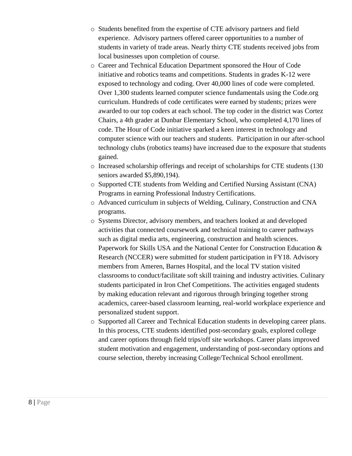- o Students benefited from the expertise of CTE advisory partners and field experience. Advisory partners offered career opportunities to a number of students in variety of trade areas. Nearly thirty CTE students received jobs from local businesses upon completion of course.
- o Career and Technical Education Department sponsored the Hour of Code initiative and robotics teams and competitions. Students in grades K-12 were exposed to technology and coding. Over 40,000 lines of code were completed. Over 1,300 students learned computer science fundamentals using the Code.org curriculum. Hundreds of code certificates were earned by students; prizes were awarded to our top coders at each school. The top coder in the district was Cortez Chairs, a 4th grader at Dunbar Elementary School, who completed 4,170 lines of code. The Hour of Code initiative sparked a keen interest in technology and computer science with our teachers and students. Participation in our after-school technology clubs (robotics teams) have increased due to the exposure that students gained.
- o Increased scholarship offerings and receipt of scholarships for CTE students (130 seniors awarded \$5,890,194).
- o Supported CTE students from Welding and Certified Nursing Assistant (CNA) Programs in earning Professional Industry Certifications.
- o Advanced curriculum in subjects of Welding, Culinary, Construction and CNA programs.
- o Systems Director, advisory members, and teachers looked at and developed activities that connected coursework and technical training to career pathways such as digital media arts, engineering, construction and health sciences. Paperwork for Skills USA and the National Center for Construction Education & Research (NCCER) were submitted for student participation in FY18. Advisory members from Ameren, Barnes Hospital, and the local TV station visited classrooms to conduct/facilitate soft skill training and industry activities. Culinary students participated in Iron Chef Competitions. The activities engaged students by making education relevant and rigorous through bringing together strong academics, career-based classroom learning, real-world workplace experience and personalized student support.
- o Supported all Career and Technical Education students in developing career plans. In this process, CTE students identified post-secondary goals, explored college and career options through field trips/off site workshops. Career plans improved student motivation and engagement, understanding of post-secondary options and course selection, thereby increasing College/Technical School enrollment.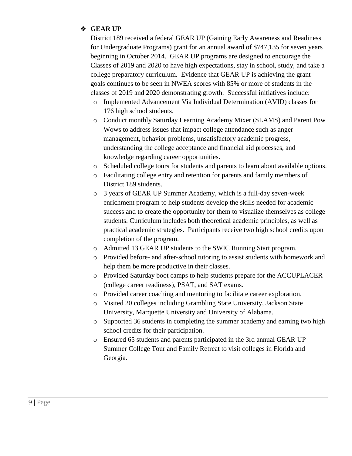#### ❖ **GEAR UP**

District 189 received a federal GEAR UP (Gaining Early Awareness and Readiness for Undergraduate Programs) grant for an annual award of \$747,135 for seven years beginning in October 2014. GEAR UP programs are designed to encourage the Classes of 2019 and 2020 to have high expectations, stay in school, study, and take a college preparatory curriculum*.* Evidence that GEAR UP is achieving the grant goals continues to be seen in NWEA scores with 85% or more of students in the classes of 2019 and 2020 demonstrating growth. Successful initiatives include:

- o Implemented Advancement Via Individual Determination (AVID) classes for 176 high school students.
- o Conduct monthly Saturday Learning Academy Mixer (SLAMS) and Parent Pow Wows to address issues that impact college attendance such as anger management, behavior problems, unsatisfactory academic progress, understanding the college acceptance and financial aid processes, and knowledge regarding career opportunities.
- o Scheduled college tours for students and parents to learn about available options.
- o Facilitating college entry and retention for parents and family members of District 189 students.
- o 3 years of GEAR UP Summer Academy, which is a full-day seven-week enrichment program to help students develop the skills needed for academic success and to create the opportunity for them to visualize themselves as college students. Curriculum includes both theoretical academic principles, as well as practical academic strategies. Participants receive two high school credits upon completion of the program.
- o Admitted 13 GEAR UP students to the SWIC Running Start program.
- o Provided before- and after-school tutoring to assist students with homework and help them be more productive in their classes.
- o Provided Saturday boot camps to help students prepare for the ACCUPLACER (college career readiness), PSAT, and SAT exams.
- o Provided career coaching and mentoring to facilitate career exploration.
- o Visited 20 colleges including Grambling State University, Jackson State University, Marquette University and University of Alabama.
- o Supported 36 students in completing the summer academy and earning two high school credits for their participation.
- o Ensured 65 students and parents participated in the 3rd annual GEAR UP Summer College Tour and Family Retreat to visit colleges in Florida and Georgia.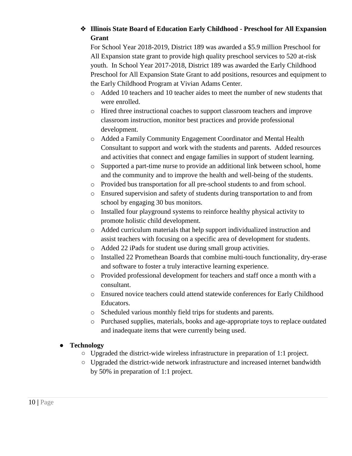#### ❖ **Illinois State Board of Education Early Childhood - Preschool for All Expansion Grant**

For School Year 2018-2019, District 189 was awarded a \$5.9 million Preschool for All Expansion state grant to provide high quality preschool services to 520 at-risk youth. In School Year 2017-2018, District 189 was awarded the Early Childhood Preschool for All Expansion State Grant to add positions, resources and equipment to the Early Childhood Program at Vivian Adams Center.

- o Added 10 teachers and 10 teacher aides to meet the number of new students that were enrolled.
- o Hired three instructional coaches to support classroom teachers and improve classroom instruction, monitor best practices and provide professional development.
- o Added a Family Community Engagement Coordinator and Mental Health Consultant to support and work with the students and parents. Added resources and activities that connect and engage families in support of student learning.
- o Supported a part-time nurse to provide an additional link between school, home and the community and to improve the health and well-being of the students.
- o Provided bus transportation for all pre-school students to and from school.
- o Ensured supervision and safety of students during transportation to and from school by engaging 30 bus monitors.
- o Installed four playground systems to reinforce healthy physical activity to promote holistic child development.
- o Added curriculum materials that help support individualized instruction and assist teachers with focusing on a specific area of development for students.
- o Added 22 iPads for student use during small group activities.
- o Installed 22 Promethean Boards that combine multi-touch functionality, dry-erase and software to foster a truly interactive learning experience.
- o Provided professional development for teachers and staff once a month with a consultant.
- o Ensured novice teachers could attend statewide conferences for Early Childhood Educators.
- o Scheduled various monthly field trips for students and parents.
- o Purchased supplies, materials, books and age-appropriate toys to replace outdated and inadequate items that were currently being used.

#### ● **Technology**

- Upgraded the district-wide wireless infrastructure in preparation of 1:1 project.
- Upgraded the district-wide network infrastructure and increased internet bandwidth by 50% in preparation of 1:1 project.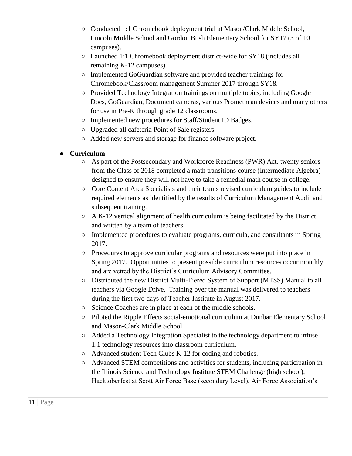- Conducted 1:1 Chromebook deployment trial at Mason/Clark Middle School, Lincoln Middle School and Gordon Bush Elementary School for SY17 (3 of 10 campuses).
- Launched 1:1 Chromebook deployment district-wide for SY18 (includes all remaining K-12 campuses).
- Implemented GoGuardian software and provided teacher trainings for Chromebook/Classroom management Summer 2017 through SY18.
- Provided Technology Integration trainings on multiple topics, including Google Docs, GoGuardian, Document cameras, various Promethean devices and many others for use in Pre-K through grade 12 classrooms.
- Implemented new procedures for Staff/Student ID Badges.
- Upgraded all cafeteria Point of Sale registers.
- Added new servers and storage for finance software project.

#### ● **Curriculum**

- As part of the Postsecondary and Workforce Readiness (PWR) Act, twenty seniors from the Class of 2018 completed a math transitions course (Intermediate Algebra) designed to ensure they will not have to take a remedial math course in college.
- Core Content Area Specialists and their teams revised curriculum guides to include required elements as identified by the results of Curriculum Management Audit and subsequent training.
- $\circ$  A K-12 vertical alignment of health curriculum is being facilitated by the District and written by a team of teachers.
- Implemented procedures to evaluate programs, curricula, and consultants in Spring 2017.
- Procedures to approve curricular programs and resources were put into place in Spring 2017. Opportunities to present possible curriculum resources occur monthly and are vetted by the District's Curriculum Advisory Committee.
- Distributed the new District Multi-Tiered System of Support (MTSS) Manual to all teachers via Google Drive. Training over the manual was delivered to teachers during the first two days of Teacher Institute in August 2017.
- Science Coaches are in place at each of the middle schools.
- Piloted the Ripple Effects social-emotional curriculum at Dunbar Elementary School and Mason-Clark Middle School.
- Added a Technology Integration Specialist to the technology department to infuse 1:1 technology resources into classroom curriculum.
- Advanced student Tech Clubs K-12 for coding and robotics.
- Advanced STEM competitions and activities for students, including participation in the Illinois Science and Technology Institute STEM Challenge (high school), Hacktoberfest at Scott Air Force Base (secondary Level), Air Force Association's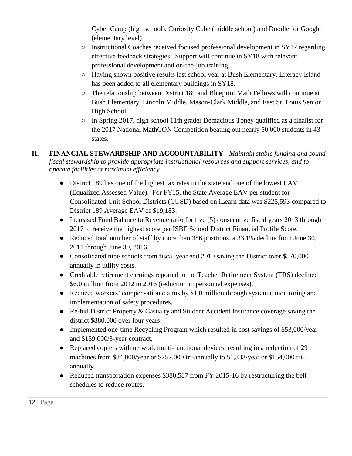Cyber Camp (high school), Curiosity Cube (middle school) and Doodle for Google (elementary level).

- Instructional Coaches received focused professional development in SY17 regarding effective feedback strategies. Support will continue in SY18 with relevant professional development and on-the-job training.
- Having shown positive results last school year at Bush Elementary, Literacy Island has been added to all elementary buildings in SY18.
- The relationship between District 189 and Blueprint Math Fellows will continue at Bush Elementary, Lincoln Middle, Mason-Clark Middle, and East St. Louis Senior High School.
- In Spring 2017, high school 11th grader Demacious Toney qualified as a finalist for the 2017 National MathCON Competition beating out nearly 50,000 students in 43 states.
- **II. FINANCIAL STEWARDSHIP AND ACCOUNTABILITY -** *Maintain stable funding and sound fiscal stewardship to provide appropriate instructional resources and support services, and to operate facilities at maximum efficiency.* 
	- District 189 has one of the highest tax rates in the state and one of the lowest EAV (Equalized Assessed Value). For FY15, the State Average EAV per student for Consolidated Unit School Districts (CUSD) based on iLearn data was \$225,593 compared to District 189 Average EAV of \$19,183.
	- Increased Fund Balance to Revenue ratio for five (5) consecutive fiscal years 2013 through 2017 to receive the highest score per ISBE School District Financial Profile Score.
	- Reduced total number of staff by more than 386 positions, a 33.1% decline from June 30, 2011 through June 30, 2016.
	- Consolidated nine schools from fiscal year end 2010 saving the District over \$570,000 annually in utility costs.
	- Creditable retirement earnings reported to the Teacher Retirement System (TRS) declined \$6.0 million from 2012 to 2016 (reduction in personnel expenses).
	- Reduced workers' compensation claims by \$1.0 million through systemic monitoring and implementation of safety procedures.
	- Re-bid District Property & Casualty and Student Accident Insurance coverage saving the district \$880,000 over four years.
	- Implemented one-time Recycling Program which resulted in cost savings of \$53,000/year and \$159,000/3-year contract.
	- Replaced copiers with network multi-functional devices, resulting in a reduction of 29 machines from \$84,000/year or \$252,000 tri-annually to 51,333/year or \$154,000 triannually.
	- Reduced transportation expenses \$380,587 from FY 2015-16 by restructuring the bell schedules to reduce routes.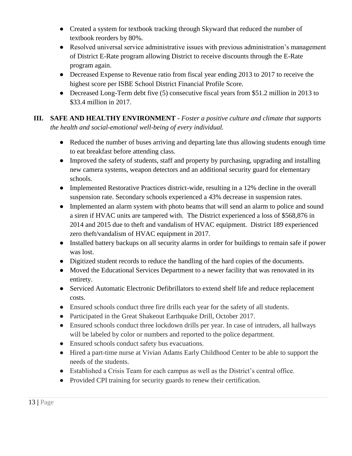- Created a system for textbook tracking through Skyward that reduced the number of textbook reorders by 80%.
- Resolved universal service administrative issues with previous administration's management of District E-Rate program allowing District to receive discounts through the E-Rate program again.
- Decreased Expense to Revenue ratio from fiscal year ending 2013 to 2017 to receive the highest score per ISBE School District Financial Profile Score.
- Decreased Long-Term debt five (5) consecutive fiscal years from \$51.2 million in 2013 to \$33.4 million in 2017.
- **III. SAFE AND HEALTHY ENVIRONMENT -** *Foster a positive culture and climate that supports the health and social-emotional well-being of every individual.*
	- Reduced the number of buses arriving and departing late thus allowing students enough time to eat breakfast before attending class.
	- Improved the safety of students, staff and property by purchasing, upgrading and installing new camera systems, weapon detectors and an additional security guard for elementary schools.
	- Implemented Restorative Practices district-wide, resulting in a 12% decline in the overall suspension rate. Secondary schools experienced a 43% decrease in suspension rates.
	- Implemented an alarm system with photo beams that will send an alarm to police and sound a siren if HVAC units are tampered with. The District experienced a loss of \$568,876 in 2014 and 2015 due to theft and vandalism of HVAC equipment. District 189 experienced zero theft/vandalism of HVAC equipment in 2017.
	- Installed battery backups on all security alarms in order for buildings to remain safe if power was lost.
	- Digitized student records to reduce the handling of the hard copies of the documents.
	- Moved the Educational Services Department to a newer facility that was renovated in its entirety.
	- Serviced Automatic Electronic Defibrillators to extend shelf life and reduce replacement costs.
	- Ensured schools conduct three fire drills each year for the safety of all students.
	- Participated in the Great Shakeout Earthquake Drill, October 2017.
	- Ensured schools conduct three lockdown drills per year. In case of intruders, all hallways will be labeled by color or numbers and reported to the police department.
	- Ensured schools conduct safety bus evacuations.
	- Hired a part-time nurse at Vivian Adams Early Childhood Center to be able to support the needs of the students.
	- Established a Crisis Team for each campus as well as the District's central office.
	- Provided CPI training for security guards to renew their certification.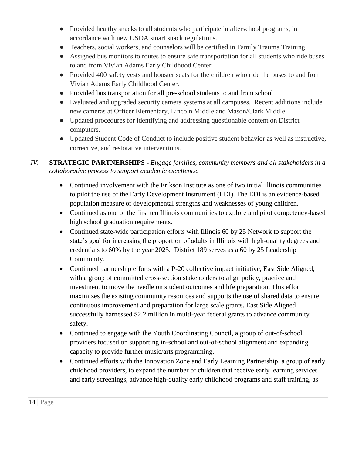- Provided healthy snacks to all students who participate in afterschool programs, in accordance with new USDA smart snack regulations.
- Teachers, social workers, and counselors will be certified in Family Trauma Training.
- Assigned bus monitors to routes to ensure safe transportation for all students who ride buses to and from Vivian Adams Early Childhood Center.
- Provided 400 safety vests and booster seats for the children who ride the buses to and from Vivian Adams Early Childhood Center.
- Provided bus transportation for all pre-school students to and from school.
- Evaluated and upgraded security camera systems at all campuses. Recent additions include new cameras at Officer Elementary, Lincoln Middle and Mason/Clark Middle.
- Updated procedures for identifying and addressing questionable content on District computers.
- Updated Student Code of Conduct to include positive student behavior as well as instructive, corrective, and restorative interventions.
- *IV.* **STRATEGIC PARTNERSHIPS -** *Engage families, community members and all stakeholders in a collaborative process to support academic excellence.* 
	- Continued involvement with the Erikson Institute as one of two initial Illinois communities to pilot the use of the Early Development Instrument (EDI). The EDI is an evidence-based population measure of developmental strengths and weaknesses of young children.
	- Continued as one of the first ten Illinois communities to explore and pilot competency-based high school graduation requirements.
	- Continued state-wide participation efforts with Illinois 60 by 25 Network to support the state's goal for increasing the proportion of adults in Illinois with high-quality degrees and credentials to 60% by the year 2025. District 189 serves as a 60 by 25 Leadership Community.
	- Continued partnership efforts with a P-20 collective impact initiative, East Side Aligned, with a group of committed cross-section stakeholders to align policy, practice and investment to move the needle on student outcomes and life preparation. This effort maximizes the existing community resources and supports the use of shared data to ensure continuous improvement and preparation for large scale grants. East Side Aligned successfully harnessed \$2.2 million in multi-year federal grants to advance community safety.
	- Continued to engage with the Youth Coordinating Council, a group of out-of-school providers focused on supporting in-school and out-of-school alignment and expanding capacity to provide further music/arts programming.
	- Continued efforts with the Innovation Zone and Early Learning Partnership, a group of early childhood providers, to expand the number of children that receive early learning services and early screenings, advance high-quality early childhood programs and staff training, as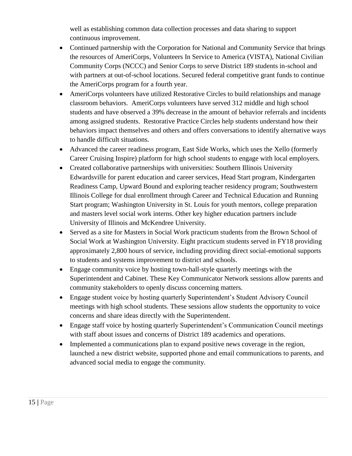well as establishing common data collection processes and data sharing to support continuous improvement.

- Continued partnership with the Corporation for National and Community Service that brings the resources of AmeriCorps, Volunteers In Service to America (VISTA), National Civilian Community Corps (NCCC) and Senior Corps to serve District 189 students in-school and with partners at out-of-school locations. Secured federal competitive grant funds to continue the AmeriCorps program for a fourth year.
- AmeriCorps volunteers have utilized Restorative Circles to build relationships and manage classroom behaviors. AmeriCorps volunteers have served 312 middle and high school students and have observed a 39% decrease in the amount of behavior referrals and incidents among assigned students. Restorative Practice Circles help students understand how their behaviors impact themselves and others and offers conversations to identify alternative ways to handle difficult situations.
- Advanced the career readiness program, East Side Works, which uses the Xello (formerly Career Cruising Inspire) platform for high school students to engage with local employers.
- Created collaborative partnerships with universities: Southern Illinois University Edwardsville for parent education and career services, Head Start program, Kindergarten Readiness Camp, Upward Bound and exploring teacher residency program; Southwestern Illinois College for dual enrollment through Career and Technical Education and Running Start program; Washington University in St. Louis for youth mentors, college preparation and masters level social work interns. Other key higher education partners include University of Illinois and McKendree University.
- Served as a site for Masters in Social Work practicum students from the Brown School of Social Work at Washington University. Eight practicum students served in FY18 providing approximately 2,800 hours of service, including providing direct social-emotional supports to students and systems improvement to district and schools.
- Engage community voice by hosting town-hall-style quarterly meetings with the Superintendent and Cabinet. These Key Communicator Network sessions allow parents and community stakeholders to openly discuss concerning matters.
- Engage student voice by hosting quarterly Superintendent's Student Advisory Council meetings with high school students. These sessions allow students the opportunity to voice concerns and share ideas directly with the Superintendent.
- Engage staff voice by hosting quarterly Superintendent's Communication Council meetings with staff about issues and concerns of District 189 academics and operations.
- Implemented a communications plan to expand positive news coverage in the region, launched a new district website, supported phone and email communications to parents, and advanced social media to engage the community.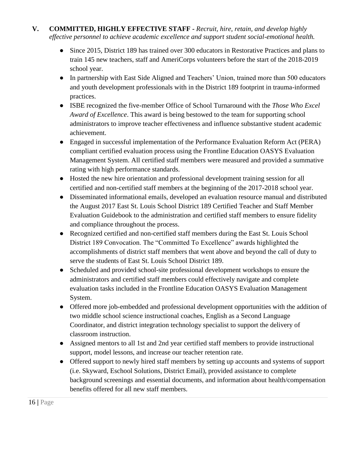- **V. COMMITTED, HIGHLY EFFECTIVE STAFF -** *Recruit, hire, retain, and develop highly effective personnel to achieve academic excellence and support student social-emotional health.*
	- Since 2015, District 189 has trained over 300 educators in Restorative Practices and plans to train 145 new teachers, staff and AmeriCorps volunteers before the start of the 2018-2019 school year.
	- In partnership with East Side Aligned and Teachers' Union, trained more than 500 educators and youth development professionals with in the District 189 footprint in trauma-informed practices.
	- ISBE recognized the five-member Office of School Turnaround with the *Those Who Excel Award of Excellence*. This award is being bestowed to the team for supporting school administrators to improve teacher effectiveness and influence substantive student academic achievement.
	- Engaged in successful implementation of the Performance Evaluation Reform Act (PERA) compliant certified evaluation process using the Frontline Education OASYS Evaluation Management System. All certified staff members were measured and provided a summative rating with high performance standards.
	- Hosted the new hire orientation and professional development training session for all certified and non-certified staff members at the beginning of the 2017-2018 school year.
	- Disseminated informational emails, developed an evaluation resource manual and distributed the August 2017 East St. Louis School District 189 Certified Teacher and Staff Member Evaluation Guidebook to the administration and certified staff members to ensure fidelity and compliance throughout the process.
	- Recognized certified and non-certified staff members during the East St. Louis School District 189 Convocation. The "Committed To Excellence" awards highlighted the accomplishments of district staff members that went above and beyond the call of duty to serve the students of East St. Louis School District 189.
	- Scheduled and provided school-site professional development workshops to ensure the administrators and certified staff members could effectively navigate and complete evaluation tasks included in the Frontline Education OASYS Evaluation Management System.
	- Offered more job-embedded and professional development opportunities with the addition of two middle school science instructional coaches, English as a Second Language Coordinator, and district integration technology specialist to support the delivery of classroom instruction.
	- Assigned mentors to all 1st and 2nd year certified staff members to provide instructional support, model lessons, and increase our teacher retention rate.
	- Offered support to newly hired staff members by setting up accounts and systems of support (i.e. Skyward, Eschool Solutions, District Email), provided assistance to complete background screenings and essential documents, and information about health/compensation benefits offered for all new staff members.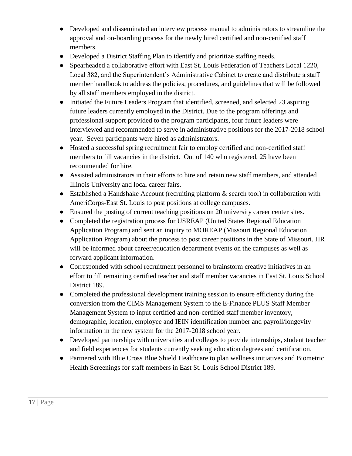- Developed and disseminated an interview process manual to administrators to streamline the approval and on-boarding process for the newly hired certified and non-certified staff members.
- Developed a District Staffing Plan to identify and prioritize staffing needs.
- Spearheaded a collaborative effort with East St. Louis Federation of Teachers Local 1220, Local 382, and the Superintendent's Administrative Cabinet to create and distribute a staff member handbook to address the policies, procedures, and guidelines that will be followed by all staff members employed in the district.
- Initiated the Future Leaders Program that identified, screened, and selected 23 aspiring future leaders currently employed in the District. Due to the program offerings and professional support provided to the program participants, four future leaders were interviewed and recommended to serve in administrative positions for the 2017-2018 school year. Seven participants were hired as administrators.
- Hosted a successful spring recruitment fair to employ certified and non-certified staff members to fill vacancies in the district. Out of 140 who registered, 25 have been recommended for hire.
- Assisted administrators in their efforts to hire and retain new staff members, and attended Illinois University and local career fairs.
- Established a Handshake Account (recruiting platform & search tool) in collaboration with AmeriCorps-East St. Louis to post positions at college campuses.
- Ensured the posting of current teaching positions on 20 university career center sites.
- Completed the registration process for USREAP (United States Regional Education Application Program) and sent an inquiry to MOREAP (Missouri Regional Education Application Program) about the process to post career positions in the State of Missouri. HR will be informed about career/education department events on the campuses as well as forward applicant information.
- Corresponded with school recruitment personnel to brainstorm creative initiatives in an effort to fill remaining certified teacher and staff member vacancies in East St. Louis School District 189.
- Completed the professional development training session to ensure efficiency during the conversion from the CIMS Management System to the E-Finance PLUS Staff Member Management System to input certified and non-certified staff member inventory, demographic, location, employee and IEIN identification number and payroll/longevity information in the new system for the 2017-2018 school year.
- Developed partnerships with universities and colleges to provide internships, student teacher and field experiences for students currently seeking education degrees and certification.
- Partnered with Blue Cross Blue Shield Healthcare to plan wellness initiatives and Biometric Health Screenings for staff members in East St. Louis School District 189.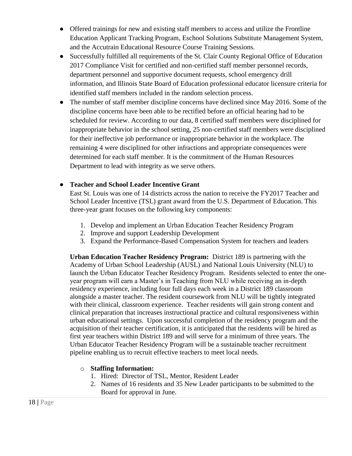- Offered trainings for new and existing staff members to access and utilize the Frontline Education Applicant Tracking Program, Eschool Solutions Substitute Management System, and the Accutrain Educational Resource Course Training Sessions.
- Successfully fulfilled all requirements of the St. Clair County Regional Office of Education 2017 Compliance Visit for certified and non-certified staff member personnel records, department personnel and supportive document requests, school emergency drill information, and Illinois State Board of Education professional educator licensure criteria for identified staff members included in the random selection process.
- The number of staff member discipline concerns have declined since May 2016. Some of the discipline concerns have been able to be rectified before an official hearing had to be scheduled for review. According to our data, 8 certified staff members were disciplined for inappropriate behavior in the school setting, 25 non-certified staff members were disciplined for their ineffective job performance or inappropriate behavior in the workplace. The remaining 4 were disciplined for other infractions and appropriate consequences were determined for each staff member. It is the commitment of the Human Resources Department to lead with integrity as we serve others.

#### ● **Teacher and School Leader Incentive Grant**

East St. Louis was one of 14 districts across the nation to receive the FY2017 Teacher and School Leader Incentive (TSL) grant award from the U.S. Department of Education. This three-year grant focuses on the following key components:

- 1. Develop and implement an Urban Education Teacher Residency Program
- 2. Improve and support Leadership Development
- 3. Expand the Performance-Based Compensation System for teachers and leaders

**Urban Education Teacher Residency Program:** District 189 is partnering with the Academy of Urban School Leadership (AUSL) and National Louis University (NLU) to launch the Urban Educator Teacher Residency Program. Residents selected to enter the oneyear program will earn a Master's in Teaching from NLU while receiving an in-depth residency experience, including four full days each week in a District 189 classroom alongside a master teacher. The resident coursework from NLU will be tightly integrated with their clinical, classroom experience. Teacher residents will gain strong content and clinical preparation that increases instructional practice and cultural responsiveness within urban educational settings. Upon successful completion of the residency program and the acquisition of their teacher certification, it is anticipated that the residents will be hired as first year teachers within District 189 and will serve for a minimum of three years. The Urban Educator Teacher Residency Program will be a sustainable teacher recruitment pipeline enabling us to recruit effective teachers to meet local needs.

#### o **Staffing Information:**

- 1. Hired: Director of TSL, Mentor, Resident Leader
- 2. Names of 16 residents and 35 New Leader participants to be submitted to the Board for approval in June.